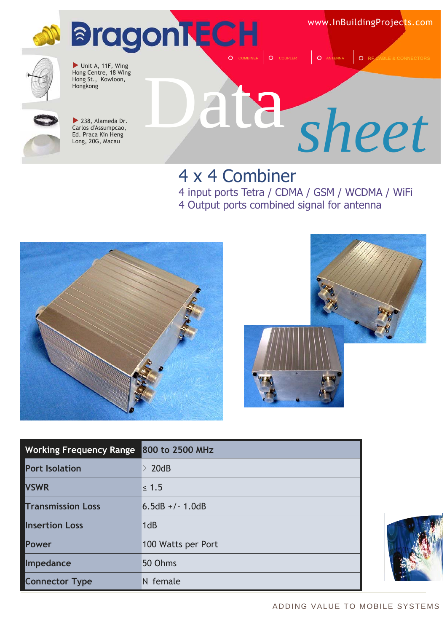

### 4 x 4 Combiner

4 input ports Tetra / CDMA / GSM / WCDMA / WiFi 4 Output ports combined signal for antenna





| <b>Working Frequency Range</b> | 800 to 2500 MHz    |
|--------------------------------|--------------------|
| <b>Port Isolation</b>          | $\geq 20$ dB       |
| <b>VSWR</b>                    | $\leq 1.5$         |
| <b>Transmission Loss</b>       | $6.5dB +/- 1.0dB$  |
| <b>Insertion Loss</b>          | 1dB                |
| <b>Power</b>                   | 100 Watts per Port |
| Impedance                      | 50 Ohms            |
| <b>Connector Type</b>          | N female           |

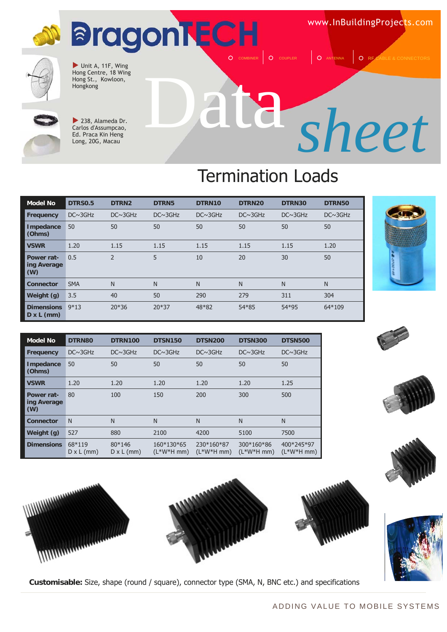# **BragonTECH**

www.InBuildingProjects.com



 $\blacktriangleright$  Unit A, 11F, Wing Hong Centre, 18 Wing Hong St., Kowloon,<br>Hongkong



 $\blacktriangleright$  238, Alameda Dr. Carlos d'Assumpcao, Ed. Praca Kin Heng Long, 20G, Macau

# Hongkong Data *sheet*

O COUPLER **Q** ANTENNA Q RI

## Termination Loads

| <b>Model No</b>                        | <b>DTRS0.5</b> | DTRN <sub>2</sub> | DTRN5          | DTRN10         | DTRN20         | DTRN30         | DTRN50         |
|----------------------------------------|----------------|-------------------|----------------|----------------|----------------|----------------|----------------|
| <b>Frequency</b>                       | $DC \sim 3GHz$ | $DC \sim 3GHz$    | $DC \sim 3GHz$ | $DC \sim 3GHz$ | $DC \sim 3GHz$ | $DC \sim 3GHz$ | $DC \sim 3GHz$ |
| Impedance<br>(Ohms)                    | 50             | 50                | 50             | 50             | 50             | 50             | 50             |
| <b>VSWR</b>                            | 1.20           | 1.15              | 1.15           | 1.15           | 1.15           | 1.15           | 1.20           |
| Power rat-<br>ing Average<br>(W)       | 0.5            | $\overline{2}$    | 5              | 10             | 20             | 30             | 50             |
| <b>Connector</b>                       | <b>SMA</b>     | N                 | N              | N              | N              | N              | N              |
| Weight (g)                             | 3.5            | 40                | 50             | 290            | 279            | 311            | 304            |
| <b>Dimensions</b><br>$D \times L$ (mm) | $9*13$         | $20*36$           | $20*37$        | 48*82          | 54*85          | 54*95          | 64*109         |

















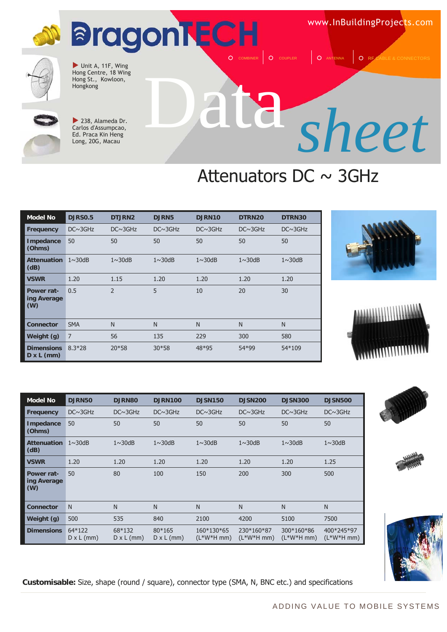

www.InBuildingProjects.com

COMBINER | O COUPLER | O ANTENNA | O RE CABLE & CONNECTORS



 $\blacktriangleright$  Unit A, 11F, Wing Hong Centre, 18 Wing Hong St., Kowloon,<br>Hongkong



 $\blacktriangleright$  238, Alameda Dr. Carlos d'Assumpcao, Ed. Praca Kin Heng Long, 20G, Macau

**DJRN50** 

# Hongkong Data *sheet*

### Attenuators DC  $\sim$  3GHz













| Frequency                        | $DC \sim 3GHz$                | $DC \sim 3GHz$              | $DC \sim 3GHz$              | $DC \sim 3GHz$            | $DC \sim 3GHz$            | $DC \sim 3GHz$            | $DC \sim 3GHz$            |
|----------------------------------|-------------------------------|-----------------------------|-----------------------------|---------------------------|---------------------------|---------------------------|---------------------------|
| <b>Impedance</b><br>(Ohms)       | 50                            | 50                          | 50                          | 50                        | 50                        | 50                        | 50                        |
| <b>Attenuation</b><br>(dB)       | $1 \sim 30$ dB                | $1 \sim 30$ dB              | $1 \sim 30$ dB              | $1 \sim 30$ dB            | $1 \sim 30$ dB            | $1 \sim 30$ dB            | $1 \sim 30$ dB            |
| <b>VSWR</b>                      | 1.20                          | 1.20                        | 1.20                        | 1.20                      | 1.20                      | 1.20                      | 1.25                      |
| Power rat-<br>ing Average<br>(W) | 50                            | 80                          | 100                         | 150                       | 200                       | 300                       | 500                       |
| <b>Connector</b>                 | N                             | N                           | N                           | N                         | N <sub>1</sub>            | N                         | N                         |
| Weight (g)                       | 500                           | 535                         | 840                         | 2100                      | 4200                      | 5100                      | 7500                      |
| <b>Dimensions</b>                | $64*122$<br>$D \times L$ (mm) | 68*132<br>$D \times L$ (mm) | 80*165<br>$D \times L$ (mm) | 160*130*65<br>$(L*W*Hmm)$ | 230*160*87<br>$(L*W*Hmm)$ | 300*160*86<br>$(L*W*Hmm)$ | 400*245*97<br>$(L*W*Hmm)$ |

**Model No DJRN80 DJRN100 DJSN150 DJSN200 DJSN300 DJSN500** 

**Customisable:** Size, shape (round / square), connector type (SMA, N, BNC etc.) and specifications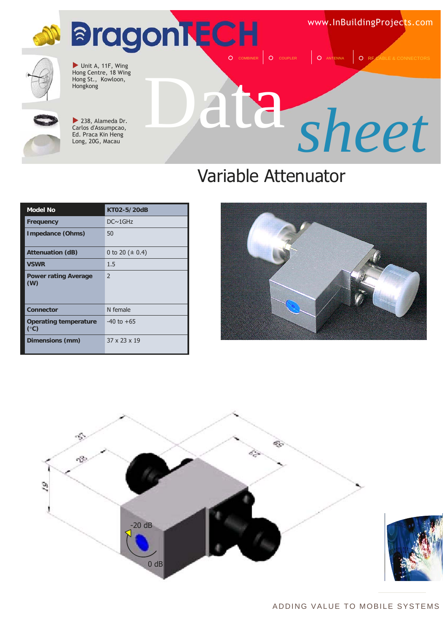## **M** BragonTECH O COUPLER **Q** ANTENNA **Q** RF

www.InBuildingProjects.com



 $\blacktriangleright$  Unit A, 11F, Wing Hong Centre, 18 Wing Hong St., Kowloon,<br>Hongkong



 $\blacktriangleright$  238, Alameda Dr. Carlos d'Assumpcao, Ed. Praca Kin Heng Long, 20G, Macau

# Hongkong Data *sheet*

### Variable Attenuator

| <b>Model No</b>                               | KT02-5/20dB              |
|-----------------------------------------------|--------------------------|
| Frequency                                     | $DC \sim 1$ GHz          |
| Impedance (Ohms)                              | 50                       |
| <b>Attenuation (dB)</b>                       | 0 to 20 ( $\pm$ 0.4)     |
| <b>VSWR</b>                                   | 1.5                      |
| <b>Power rating Average</b><br>(W)            | $\mathcal{P}$            |
| Connector                                     | N female                 |
| <b>Operating temperature</b><br>$(^{\circ}C)$ | $-40$ to $+65$           |
| Dimensions (mm)                               | $37 \times 23 \times 19$ |





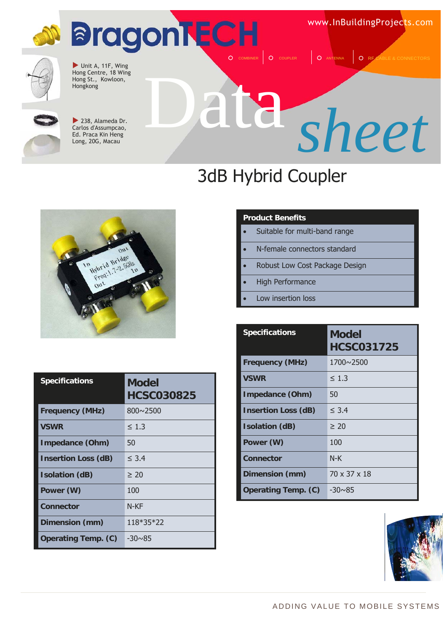# **D BragonTECH**

www.InBuildingProjects.com

O COUPLER **Q** ANTENNA **Q** RE CABLE & CONNE



 $\blacktriangleright$  Unit A, 11F, Wing Hong Centre, 18 Wing Hong St., Kowloon,<br>Hongkong



 $\blacktriangleright$  238, Alameda Dr. Carlos d'Assumpcao, Ed. Praca Kin Heng Long, 20G, Macau

# Hongkong Data *sheet*

## 3dB Hybrid Coupler



| <b>Specifications</b>      | <b>Model</b><br><b>HCSC030825</b> |
|----------------------------|-----------------------------------|
| <b>Frequency (MHz)</b>     | $800 \sim 2500$                   |
| <b>VSWR</b>                | $\leq 1.3$                        |
| <b>Impedance (Ohm)</b>     | 50                                |
| <b>Insertion Loss (dB)</b> | $\leq 3.4$                        |
| <b>Isolation (dB)</b>      | $\geq 20$                         |
| Power (W)                  | 100                               |
| Connector                  | N-KF                              |
| Dimension (mm)             | 118*35*22                         |
| <b>Operating Temp. (C)</b> | $-30\nu85$                        |

#### **Product Benefits**

- Suitable for multi-band range
- N-female connectors standard
- Robust Low Cost Package Design
- High Performance
- Low insertion loss

| <b>Specifications</b>      | <b>Model</b><br><b>HCSC031725</b> |
|----------------------------|-----------------------------------|
| <b>Frequency (MHz)</b>     | $1700 \times 2500$                |
| <b>VSWR</b>                | $\leq 1.3$                        |
| Impedance (Ohm)            | 50                                |
| <b>Insertion Loss (dB)</b> | $\leq 3.4$                        |
| <b>Isolation (dB)</b>      | > 20                              |
| Power (W)                  | 100                               |
| Connector                  | $N-K$                             |
| Dimension (mm)             | 70 x 37 x 18                      |
| <b>Operating Temp. (C)</b> | $-30 \sim 85$                     |

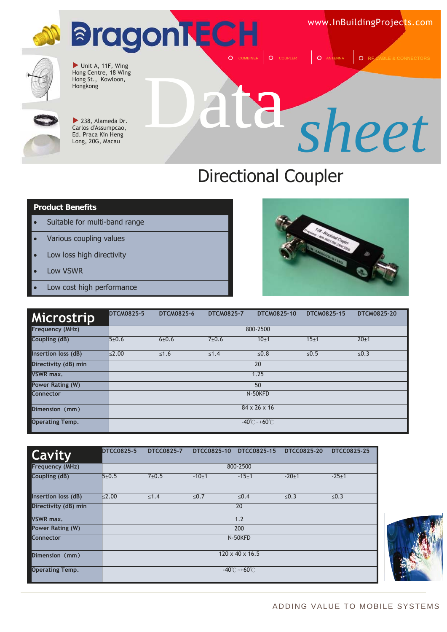# **BragonTECH**

www.InBuildingProjects.com



 $\blacktriangleright$  Unit A, 11F, Wing Hong Centre, 18 Wing Hong St., Kowloon,<br>Hongkong



 $\blacktriangleright$  238, Alameda Dr. Carlos d'Assumpcao, Ed. Praca Kin Heng Long, 20G, Macau

# Hongkong Data *sheet*

O COUPLER | O ANTENNA | O RF CABLE

### Directional Coupler

#### **Product Benefits**

- Suitable for multi-band range
- Various coupling values
- Low loss high directivity
- Low VSWR
- Low cost high performance



| <b>Microstrip</b>      | <b>DTCM0825-5</b> | <b>DTCM0825-6</b> | <b>DTCM0825-7</b> | DTCM0825-10                        | DTCM0825-15 | <b>DTCM0825-20</b> |
|------------------------|-------------------|-------------------|-------------------|------------------------------------|-------------|--------------------|
| Frequency (MHz)        |                   | 800-2500          |                   |                                    |             |                    |
| Coupling (dB)          | 5±0.6             | 6 ± 0.6           | $7 + 0.6$         | 10±1                               | 15±1        | 20±1               |
| Insertion loss (dB)    | $\leq$ 2.00       | $≤1.6$            | $\leq 1.4$        | ≤ $0.8$                            | ≤ $0.5$     | ≤ $0.3$            |
| Directivity (dB) min   |                   |                   |                   | 20                                 |             |                    |
| <b>VSWR max.</b>       |                   | 1.25              |                   |                                    |             |                    |
| Power Rating (W)       | 50                |                   |                   |                                    |             |                    |
| <b>Connector</b>       | N-50KFD           |                   |                   |                                    |             |                    |
| Dimension (mm)         | 84 x 26 x 16      |                   |                   |                                    |             |                    |
| <b>Operating Temp.</b> |                   |                   |                   | $-40^{\circ}$ C ~ +60 $^{\circ}$ C |             |                    |

| <b>Cavity</b>          | <b>DTCC0825-5</b> | <b>DTCC0825-7</b> | <b>DTCC0825-10</b> | DTCC0825-15                       | DTCC0825-20 | <b>DTCC0825-25</b> |
|------------------------|-------------------|-------------------|--------------------|-----------------------------------|-------------|--------------------|
| Frequency (MHz)        |                   |                   |                    | 800-2500                          |             |                    |
| Coupling (dB)          | 5±0.5             | 7±0.5             | $-10±1$            | $-15+1$                           | $-20+1$     | $-25+1$            |
| Insertion loss (dB)    | $\leq$ 2.00       | $≤1.4$            | $≤0.7$             | $≤0.4$                            | $≤0.3$      | $≤0.3$             |
| Directivity (dB) min   |                   | 20                |                    |                                   |             |                    |
| <b>VSWR max.</b>       |                   |                   |                    | 1.2                               |             |                    |
| Power Rating (W)       |                   | 200               |                    |                                   |             |                    |
| Connector              |                   |                   |                    | N-50KFD                           |             |                    |
| Dimension (mm)         |                   |                   |                    | $120 \times 40 \times 16.5$       |             |                    |
| <b>Operating Temp.</b> |                   |                   |                    | $-40^{\circ}$ C ~ $+60^{\circ}$ C |             |                    |

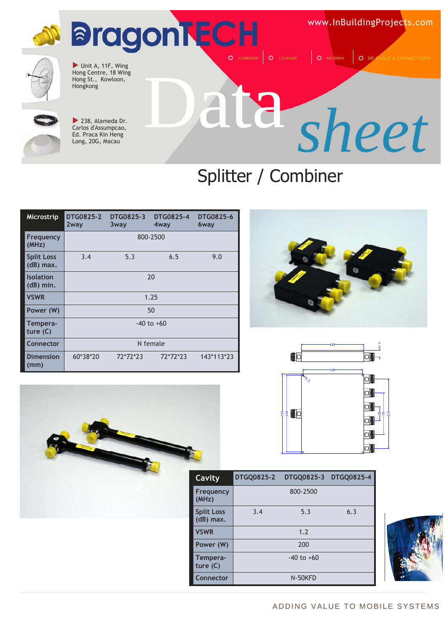

### Splitter / Combiner

| <b>Microstrip</b>                | <b>DTG0825-2</b><br>2way | <b>DTG0825-3</b><br>3way | <b>DTG0825-4</b><br>4way | <b>DTG0825-6</b><br>6way |  |  |
|----------------------------------|--------------------------|--------------------------|--------------------------|--------------------------|--|--|
| Frequency<br>(MHz)               |                          | 800-2500                 |                          |                          |  |  |
| <b>Split Loss</b><br>$(dB)$ max. | 3.4                      | 5.3                      | 6.5                      | 9.0                      |  |  |
| <b>Isolation</b><br>$(dB)$ min.  |                          | 20                       |                          |                          |  |  |
| <b>VSWR</b>                      | 1.25                     |                          |                          |                          |  |  |
| Power (W)                        |                          | 50                       |                          |                          |  |  |
| Tempera-<br>ture $(C)$           |                          | $-40$ to $+60$           |                          |                          |  |  |
| Connector                        | N female                 |                          |                          |                          |  |  |
| <b>Dimension</b><br>(mm)         | 60*38*20                 | 72*72*23                 | 72*72*23                 | 143*113*23               |  |  |







| Cavity                         | <b>DTGQ0825-2</b> | DTGQ0825-3 DTGQ0825-4 |     |
|--------------------------------|-------------------|-----------------------|-----|
| Frequency<br>(MHz)             |                   | 800-2500              |     |
| <b>Split Loss</b><br>(dB) max. | 3.4               | 5.3                   | 6.3 |
| <b>VSWR</b>                    |                   | 1.2                   |     |
| Power (W)                      |                   | 200                   |     |
| Tempera-<br>ture $(C)$         |                   | $-40$ to $+60$        |     |
| Connector                      |                   | N-50KFD               |     |

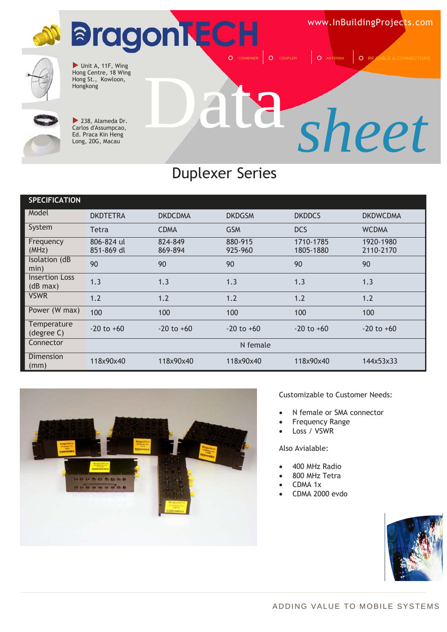

#### Duplexer Series

| <b>SPECIFICATION</b>              |                          |                    |                    |                        |                        |
|-----------------------------------|--------------------------|--------------------|--------------------|------------------------|------------------------|
| Model                             | <b>DKDTETRA</b>          | <b>DKDCDMA</b>     | <b>DKDGSM</b>      | <b>DKDDCS</b>          | <b>DKDWCDMA</b>        |
| System                            | Tetra                    | <b>CDMA</b>        | <b>GSM</b>         | <b>DCS</b>             | <b>WCDMA</b>           |
| Frequency<br>(MHz)                | 806-824 ul<br>851-869 dl | 824-849<br>869-894 | 880-915<br>925-960 | 1710-1785<br>1805-1880 | 1920-1980<br>2110-2170 |
| Isolation (dB<br>min)             | 90                       | 90                 | 90                 | 90                     | 90                     |
| <b>Insertion Loss</b><br>(dB max) | 1.3                      | 1.3                | 1.3                | 1.3                    | 1.3                    |
| <b>VSWR</b>                       | 1.2                      | 1.2                | 1.2                | 1.2                    | 1.2                    |
| Power (W max)                     | 100                      | 100                | 100                | 100                    | 100                    |
| Temperature<br>(degree C)         | $-20$ to $+60$           | $-20$ to $+60$     | $-20$ to $+60$     | $-20$ to $+60$         | $-20$ to $+60$         |
| Connector                         |                          |                    | N female           |                        |                        |
| Dimension<br>(mm)                 | 118x90x40                | 118x90x40          | 118x90x40          | 118x90x40              | 144x53x33              |



Customizable to Customer Needs:

- N female or SMA connector
- Frequency Range
- Loss / VSWR

- 400 MHz Radio
- 800 MHz Tetra
- CDMA 1x
- CDMA 2000 evdo

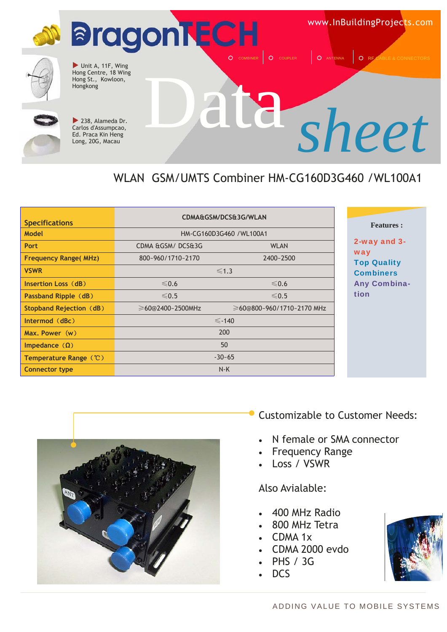

#### WLAN GSM/UMTS Combiner HM-CG160D3G460 /WL100A1

| <b>Specifications</b>          | CDMA&GSM/DCS&3G/WLAN            |                           |  |  |
|--------------------------------|---------------------------------|---------------------------|--|--|
| <b>Model</b>                   | HM-CG160D3G460 / WL100A1        |                           |  |  |
| Port                           | CDMA &GSM/DCS&3G<br><b>WLAN</b> |                           |  |  |
| <b>Frequency Range(MHz)</b>    | 800~960/1710~2170               | 2400~2500                 |  |  |
| <b>VSWR</b>                    | $\leq 1.3$                      |                           |  |  |
| Insertion Loss (dB)            | $≤0.6$                          | $≤0.6$                    |  |  |
| Passband Ripple (dB)           | $\leq 0.5$                      | $\leq 0.5$                |  |  |
| <b>Stopband Rejection (dB)</b> | ≥60@2400~2500MHz                | ≥60@800~960/1710~2170 MHz |  |  |
| $Intermod$ $(dBc)$             |                                 | $\le$ -140                |  |  |
| Max. Power(w)                  |                                 | 200                       |  |  |
| Impedance $(\Omega)$           | 50                              |                           |  |  |
| Temperature Range (°C)         |                                 | $-30-65$                  |  |  |
| <b>Connector type</b>          |                                 | $N-K$                     |  |  |

#### **Features :**

2-way and 3 way **Top Quality** Combiners Any Combinaion



Customizable to Customer Needs:

- N female or SMA connector
- Frequency Range
- Loss / VSWR

- 400 MHz Radio
- 800 MHz Tetra
- CDMA 1x
- CDMA 2000 evdo
- PHS / 3G
- DCS

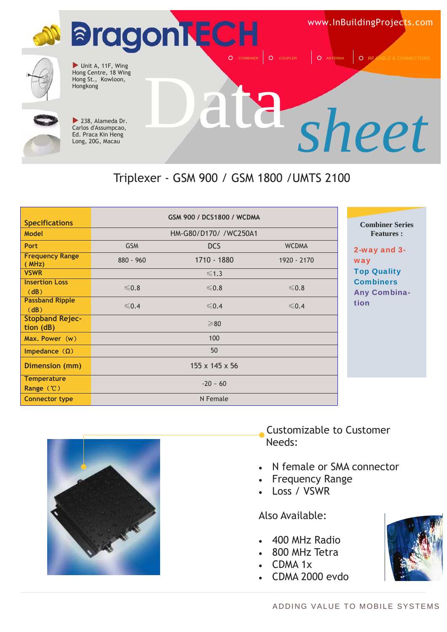

#### Triplexer - GSM 900 / GSM 1800 /UMTS 2100

| <b>Specifications</b>                      |            | GSM 900 / DCS1800 / WCDMA |              |          |
|--------------------------------------------|------------|---------------------------|--------------|----------|
| <b>Model</b>                               |            | HM-G80/D170/ /WC250A1     |              |          |
| <b>Port</b>                                | <b>GSM</b> | <b>DCS</b>                | <b>WCDMA</b> | $2-y$    |
| <b>Frequency Range</b><br>(MHz)            | 880 - 960  | 1710 - 1880               | 1920 - 2170  | wa       |
| <b>VSWR</b>                                |            | $\leq 1.3$                |              | To       |
| <b>Insertion Loss</b><br>(dB)              | $≤0.8$     | $≤0.8$                    | $≤0.8$       | Co<br>An |
| <b>Passband Ripple</b><br>(dB)             | $\leq 0.4$ | $\leq 0.4$                | $\leq 0.4$   | tio      |
| <b>Stopband Rejec-</b><br>tion (dB)        |            | $\geq 80$                 |              |          |
| Max. Power(w)                              |            | 100                       |              |          |
| Impedance $(\Omega)$                       |            | 50                        |              |          |
| Dimension (mm)                             |            | 155 x 145 x 56            |              |          |
| <b>Temperature</b><br>Range $(\mathbb{C})$ |            | $-20 - 60$                |              |          |
| <b>Connector type</b>                      |            | N Female                  |              |          |

#### **Combiner Series Features :**

vay and 3way p Quality mbiners v Combination



- N female or SMA connector
- Frequency Range
- Loss / VSWR

- 400 MHz Radio
- 800 MHz Tetra
- CDMA 1x
- CDMA 2000 evdo



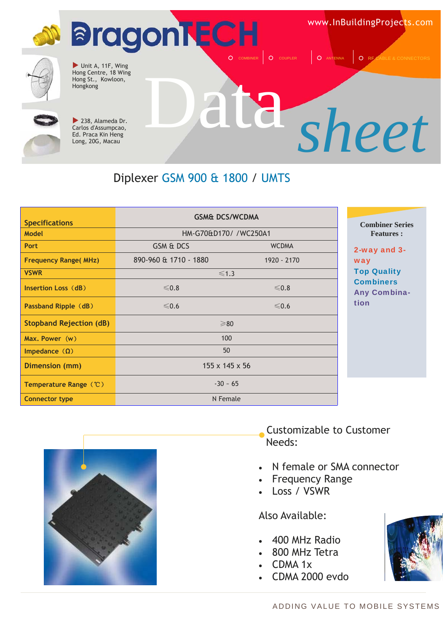

#### Diplexer GSM 900 & 1800 / UMTS

| <b>Specifications</b>          | <b>GSM&amp; DCS/WCDMA</b>  |              | <b>Combiner Series</b>                  |
|--------------------------------|----------------------------|--------------|-----------------------------------------|
| Model                          | HM-G70&D170/ /WC250A1      |              | <b>Features:</b>                        |
| <b>Port</b>                    | GSM & DCS                  | <b>WCDMA</b> | 2-way and 3-                            |
| <b>Frequency Range(MHz)</b>    | 890-960 & 1710 - 1880      | 1920 - 2170  | way                                     |
| <b>VSWR</b>                    | $\leq 1.3$                 |              | <b>Top Quality</b>                      |
| Insertion Loss (dB)            | $≤0.8$                     | $≤0.8$       | <b>Combiners</b><br><b>Any Combina-</b> |
| Passband Ripple (dB)           | $\leqslant$ 0.6            | $\leq 0.6$   | tion                                    |
| <b>Stopband Rejection (dB)</b> | $\geq 80$                  |              |                                         |
| Max. Power $(w)$               | 100                        |              |                                         |
| Impedance $(\Omega)$           | 50                         |              |                                         |
| Dimension (mm)                 | $155 \times 145 \times 56$ |              |                                         |
| Temperature Range (°C)         | $-30 - 65$                 |              |                                         |
| <b>Connector type</b>          | N Female                   |              |                                         |



- N female or SMA connector
- Frequency Range
- Loss / VSWR

- 400 MHz Radio
- 800 MHz Tetra
- CDMA 1x
- CDMA 2000 evdo



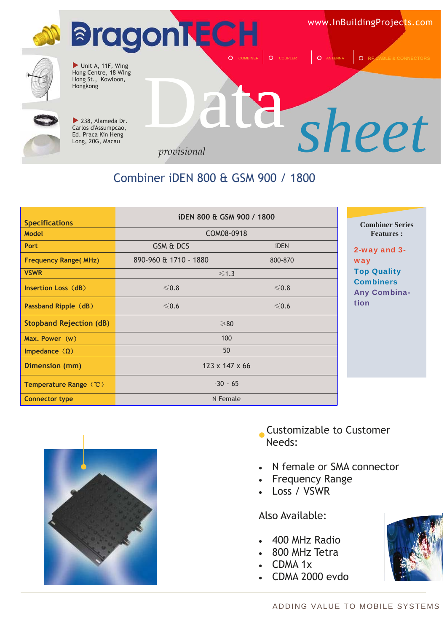

#### Combiner iDEN 800 & GSM 900 / 1800

| <b>Specifications</b>          | iDEN 800 & GSM 900 / 1800  |             | <b>Combiner Series</b>                  |
|--------------------------------|----------------------------|-------------|-----------------------------------------|
| <b>Model</b>                   | COM08-0918                 |             | <b>Features:</b>                        |
| <b>Port</b>                    | GSM & DCS                  | <b>iDEN</b> | 2-way and 3-                            |
| <b>Frequency Range(MHz)</b>    | 890-960 & 1710 - 1880      | 800-870     | way                                     |
| <b>VSWR</b>                    | $\leq 1.3$                 |             | <b>Top Quality</b>                      |
| Insertion Loss (dB)            | $≤0.8$                     | $≤0.8$      | <b>Combiners</b><br><b>Any Combina-</b> |
| Passband Ripple (dB)           | $\leq 0.6$                 | $\leq 0.6$  | tion                                    |
| <b>Stopband Rejection (dB)</b> | $\geq 80$                  |             |                                         |
| Max. Power (w)                 | 100                        |             |                                         |
| Impedance $(\Omega)$           | 50                         |             |                                         |
| Dimension (mm)                 | $123 \times 147 \times 66$ |             |                                         |
| Temperature Range (°C)         | $-30 - 65$                 |             |                                         |
| <b>Connector type</b>          | N Female                   |             |                                         |



#### Customizable to Customer Needs:

- N female or SMA connector
- Frequency Range
- Loss / VSWR

- 400 MHz Radio
- 800 MHz Tetra
- CDMA 1x
- CDMA 2000 evdo

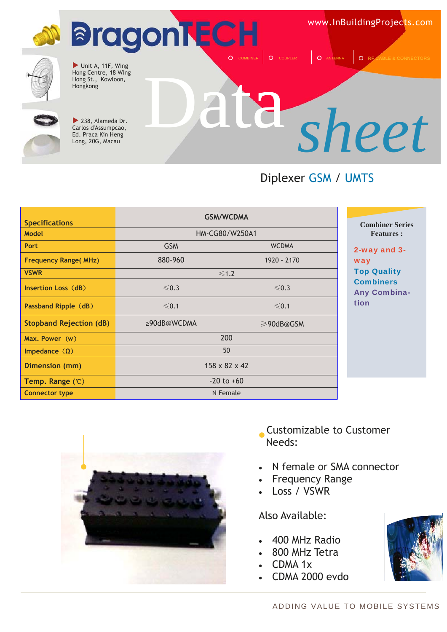

#### Diplexer GSM / UMTS

| <b>Specifications</b>          |                           | <b>GSM/WCDMA</b> |  |
|--------------------------------|---------------------------|------------------|--|
| <b>Model</b>                   | HM-CG80/W250A1            |                  |  |
| <b>Port</b>                    | <b>GSM</b>                | <b>WCDMA</b>     |  |
| <b>Frequency Range(MHz)</b>    | 880-960                   | 1920 - 2170      |  |
| <b>VSWR</b>                    |                           | $\leq 1.2$       |  |
| Insertion Loss (dB)            | $\leq 0.3$                | $\leq 0.3$       |  |
| Passband Ripple (dB)           | $\leq 0.1$                | $≤ 0.1$          |  |
| <b>Stopband Rejection (dB)</b> | ≥90dB@WCDMA               | $\geq$ 90dB@GSM  |  |
| Max. Power $(w)$               | 200                       |                  |  |
| Impedance $(\Omega)$           | 50                        |                  |  |
| Dimension (mm)                 | $158 \times 82 \times 42$ |                  |  |
| Temp. Range $(C)$              | $-20$ to $+60$            |                  |  |
| <b>Connector type</b>          | N Female                  |                  |  |

#### **Combiner Series Features :**

2-way and 3 way Top Quality **Combiners** Any Combination



#### Customizable to Customer Needs:

- N female or SMA connector
- Frequency Range
- Loss / VSWR

- 400 MHz Radio
- 800 MHz Tetra
- CDMA 1x
- CDMA 2000 evdo

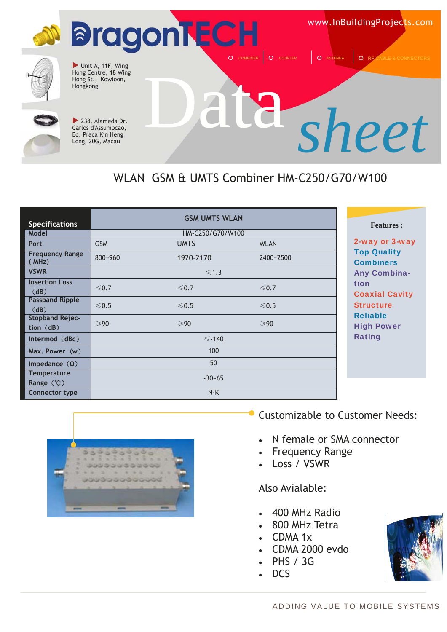

#### WLAN GSM & UMTS Combiner HM-C250/G70/W100

|                                     |                | <b>GSM UMTS WLAN</b> |                |                                        |
|-------------------------------------|----------------|----------------------|----------------|----------------------------------------|
| <b>Specifications</b>               |                |                      |                | <b>Features:</b>                       |
| Model                               |                | HM-C250/G70/W100     |                |                                        |
| <b>Port</b>                         | <b>GSM</b>     | <b>UMTS</b>          | <b>WLAN</b>    | 2-way or 3-way                         |
| <b>Frequency Range</b><br>(MHz)     | 800~960        | 1920-2170            | 2400~2500      | <b>Top Quality</b><br><b>Combiners</b> |
| <b>VSWR</b>                         |                | $\leq 1.3$           |                | <b>Any Combina-</b>                    |
| <b>Insertion Loss</b><br>(dB)       | $\leq 0.7$     | $\leq 0.7$           | $\leq 0.7$     | tion<br><b>Coaxial Cavity</b>          |
| <b>Passband Ripple</b><br>(dB)      | $\leq 0.5$     | $\leq 0.5$           | $\leq 0.5$     | <b>Structure</b>                       |
| <b>Stopband Rejec-</b><br>tion (dB) | $\geqslant$ 90 | $\geqslant$ 90       | $\geqslant$ 90 | <b>Reliable</b><br><b>High Power</b>   |
| Intermod $(dBc)$                    |                | $\le$ -140           |                | <b>Rating</b>                          |
| Max. Power (w)                      |                | 100                  |                |                                        |
| Impedance $(\Omega)$                |                | 50                   |                |                                        |
| <b>Temperature</b><br>Range $(C)$   |                | $-30-65$             |                |                                        |
| <b>Connector type</b>               |                | N-K                  |                |                                        |



Customizable to Customer Needs:

- N female or SMA connector
- Frequency Range
- Loss / VSWR

- 400 MHz Radio
- 800 MHz Tetra
- CDMA 1x
- CDMA 2000 evdo
- PHS / 3G
- DCS

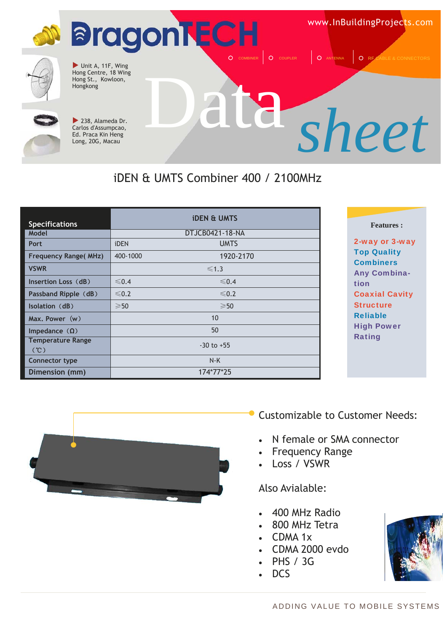

#### iDEN & UMTS Combiner 400 / 2100MHz

| <b>Specifications</b>           |                | <b><i>iDEN &amp; UMTS</i></b> |
|---------------------------------|----------------|-------------------------------|
| Model                           |                | DTJCB0421-18-NA               |
| Port                            | iDEN           | <b>UMTS</b>                   |
| <b>Frequency Range(MHz)</b>     | 400-1000       | 1920-2170                     |
| <b>VSWR</b>                     |                | $\leq 1.3$                    |
| Insertion Loss (dB)             | $\leq 0.4$     | ≤ 0.4                         |
| Passband Ripple (dB)            | $\leq 0.2$     | $\leq 0.2$                    |
| <b>Isolation (dB)</b>           | $\geqslant$ 50 | $\geqslant$ 50                |
| Max. Power (w)                  |                | 10                            |
| Impedance $(\Omega)$            | 50             |                               |
| <b>Temperature Range</b><br>(C) | $-30$ to $+55$ |                               |
| Connector type                  | $N-K$          |                               |
| Dimension (mm)                  | 174*77*25      |                               |

#### **Features :**

2-way or 3-way Top Quality **Combiners** Any Combination Coaxial Cavity **Structure** Reliable High Power Rating



#### Customizable to Customer Needs:

- N female or SMA connector
- **Frequency Range**
- Loss / VSWR

- 400 MHz Radio
- 800 MHz Tetra
- CDMA 1x
- CDMA 2000 evdo
- PHS / 3G
- DCS